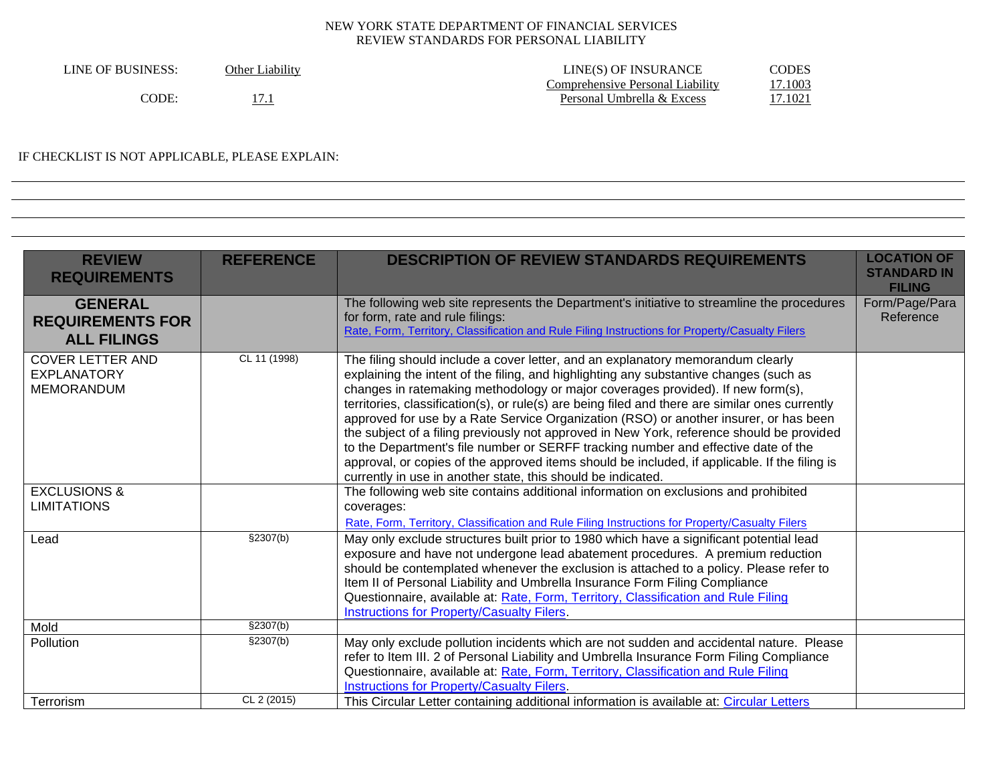| LINE OF BUSINESS: | Other Liability | LINE(S) OF INSURANCE             | CODES          |
|-------------------|-----------------|----------------------------------|----------------|
|                   |                 | Comprehensive Personal Liability | 7.1003         |
| 'ODE.             |                 | Personal Umbrella & Excess       | <u>17.1021</u> |

# IF CHECKLIST IS NOT APPLICABLE, PLEASE EXPLAIN:

| <b>REVIEW</b><br><b>REQUIREMENTS</b>                               | <b>REFERENCE</b>      | <b>DESCRIPTION OF REVIEW STANDARDS REQUIREMENTS</b>                                                                                                                                                                                                                                                                                                                                                                                                                                                                                                                                                                                                                                                                                                                                                          | <b>LOCATION OF</b><br><b>STANDARD IN</b><br><b>FILING</b> |
|--------------------------------------------------------------------|-----------------------|--------------------------------------------------------------------------------------------------------------------------------------------------------------------------------------------------------------------------------------------------------------------------------------------------------------------------------------------------------------------------------------------------------------------------------------------------------------------------------------------------------------------------------------------------------------------------------------------------------------------------------------------------------------------------------------------------------------------------------------------------------------------------------------------------------------|-----------------------------------------------------------|
| <b>GENERAL</b><br><b>REQUIREMENTS FOR</b><br><b>ALL FILINGS</b>    |                       | The following web site represents the Department's initiative to streamline the procedures<br>for form, rate and rule filings:<br>Rate, Form, Territory, Classification and Rule Filing Instructions for Property/Casualty Filers                                                                                                                                                                                                                                                                                                                                                                                                                                                                                                                                                                            | Form/Page/Para<br>Reference                               |
| <b>COVER LETTER AND</b><br><b>EXPLANATORY</b><br><b>MEMORANDUM</b> | CL 11 (1998)          | The filing should include a cover letter, and an explanatory memorandum clearly<br>explaining the intent of the filing, and highlighting any substantive changes (such as<br>changes in ratemaking methodology or major coverages provided). If new form(s),<br>territories, classification(s), or rule(s) are being filed and there are similar ones currently<br>approved for use by a Rate Service Organization (RSO) or another insurer, or has been<br>the subject of a filing previously not approved in New York, reference should be provided<br>to the Department's file number or SERFF tracking number and effective date of the<br>approval, or copies of the approved items should be included, if applicable. If the filing is<br>currently in use in another state, this should be indicated. |                                                           |
| <b>EXCLUSIONS &amp;</b><br><b>LIMITATIONS</b>                      |                       | The following web site contains additional information on exclusions and prohibited<br>coverages:<br>Rate, Form, Territory, Classification and Rule Filing Instructions for Property/Casualty Filers                                                                                                                                                                                                                                                                                                                                                                                                                                                                                                                                                                                                         |                                                           |
| Lead                                                               | \$2307(b)             | May only exclude structures built prior to 1980 which have a significant potential lead<br>exposure and have not undergone lead abatement procedures. A premium reduction<br>should be contemplated whenever the exclusion is attached to a policy. Please refer to<br>Item II of Personal Liability and Umbrella Insurance Form Filing Compliance<br>Questionnaire, available at: Rate, Form, Territory, Classification and Rule Filing<br><b>Instructions for Property/Casualty Filers.</b>                                                                                                                                                                                                                                                                                                                |                                                           |
| Mold                                                               | \$2307(b)             |                                                                                                                                                                                                                                                                                                                                                                                                                                                                                                                                                                                                                                                                                                                                                                                                              |                                                           |
| Pollution                                                          | $\overline{$}2307(b)$ | May only exclude pollution incidents which are not sudden and accidental nature. Please<br>refer to Item III. 2 of Personal Liability and Umbrella Insurance Form Filing Compliance<br>Questionnaire, available at: Rate, Form, Territory, Classification and Rule Filing<br>Instructions for Property/Casualty Filers.                                                                                                                                                                                                                                                                                                                                                                                                                                                                                      |                                                           |
| Terrorism                                                          | CL 2 (2015)           | This Circular Letter containing additional information is available at: Circular Letters                                                                                                                                                                                                                                                                                                                                                                                                                                                                                                                                                                                                                                                                                                                     |                                                           |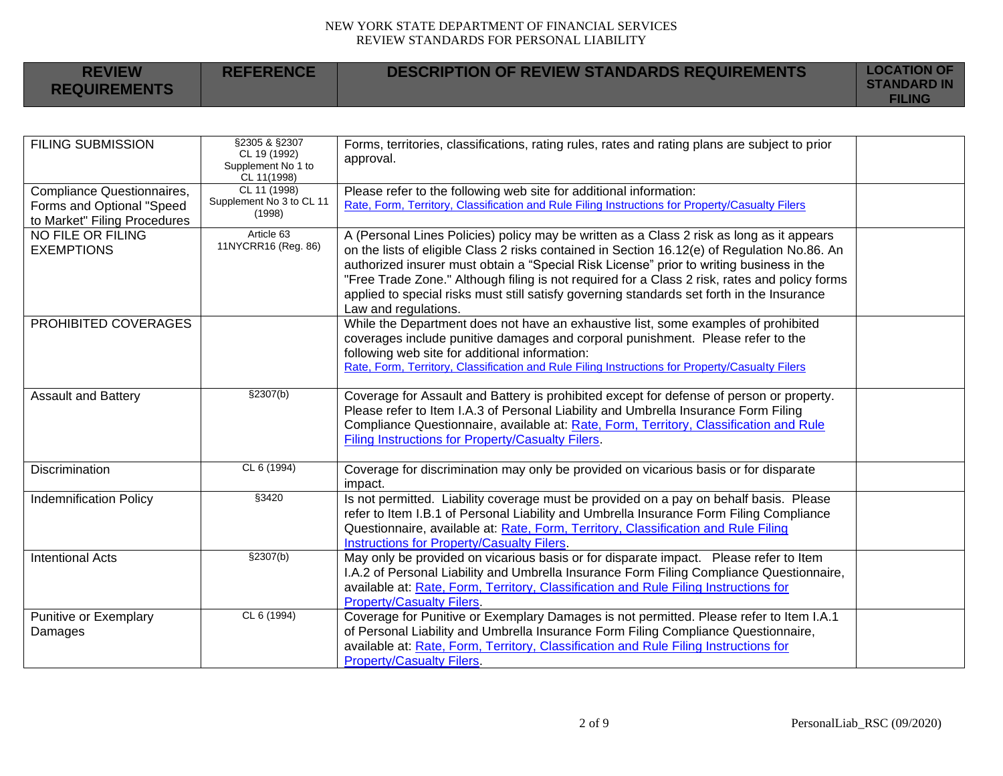| <b>REVIEW</b><br><b>REQUIREMENTS</b> | <b>REFERENCE</b> | <b>DESCRIPTION OF REVIEW STANDARDS REQUIREMENTS</b> | <b>LOCATION OF</b><br><b>STANDARD IN</b><br><b>FILING</b> |
|--------------------------------------|------------------|-----------------------------------------------------|-----------------------------------------------------------|
|                                      |                  |                                                     |                                                           |

| <b>FILING SUBMISSION</b>                                                                | §2305 & §2307<br>CL 19 (1992)<br>Supplement No 1 to<br>CL 11(1998) | Forms, territories, classifications, rating rules, rates and rating plans are subject to prior<br>approval.                                                                                                                                                                                                                                                                                                                                                                                                  |  |
|-----------------------------------------------------------------------------------------|--------------------------------------------------------------------|--------------------------------------------------------------------------------------------------------------------------------------------------------------------------------------------------------------------------------------------------------------------------------------------------------------------------------------------------------------------------------------------------------------------------------------------------------------------------------------------------------------|--|
| Compliance Questionnaires,<br>Forms and Optional "Speed<br>to Market" Filing Procedures | CL 11 (1998)<br>Supplement No 3 to CL 11<br>(1998)                 | Please refer to the following web site for additional information:<br>Rate, Form, Territory, Classification and Rule Filing Instructions for Property/Casualty Filers                                                                                                                                                                                                                                                                                                                                        |  |
| <b>NO FILE OR FILING</b><br><b>EXEMPTIONS</b>                                           | Article 63<br>11NYCRR16 (Reg. 86)                                  | A (Personal Lines Policies) policy may be written as a Class 2 risk as long as it appears<br>on the lists of eligible Class 2 risks contained in Section 16.12(e) of Regulation No.86. An<br>authorized insurer must obtain a "Special Risk License" prior to writing business in the<br>"Free Trade Zone." Although filing is not required for a Class 2 risk, rates and policy forms<br>applied to special risks must still satisfy governing standards set forth in the Insurance<br>Law and regulations. |  |
| PROHIBITED COVERAGES                                                                    |                                                                    | While the Department does not have an exhaustive list, some examples of prohibited<br>coverages include punitive damages and corporal punishment. Please refer to the<br>following web site for additional information:<br>Rate, Form, Territory, Classification and Rule Filing Instructions for Property/Casualty Filers                                                                                                                                                                                   |  |
| <b>Assault and Battery</b>                                                              | §2307(b)                                                           | Coverage for Assault and Battery is prohibited except for defense of person or property.<br>Please refer to Item I.A.3 of Personal Liability and Umbrella Insurance Form Filing<br>Compliance Questionnaire, available at: Rate, Form, Territory, Classification and Rule<br><b>Filing Instructions for Property/Casualty Filers.</b>                                                                                                                                                                        |  |
| Discrimination                                                                          | CL 6 (1994)                                                        | Coverage for discrimination may only be provided on vicarious basis or for disparate<br>impact.                                                                                                                                                                                                                                                                                                                                                                                                              |  |
| <b>Indemnification Policy</b>                                                           | §3420                                                              | Is not permitted. Liability coverage must be provided on a pay on behalf basis. Please<br>refer to Item I.B.1 of Personal Liability and Umbrella Insurance Form Filing Compliance<br>Questionnaire, available at: Rate, Form, Territory, Classification and Rule Filing<br>Instructions for Property/Casualty Filers.                                                                                                                                                                                        |  |
| <b>Intentional Acts</b>                                                                 | \$2307(b)                                                          | May only be provided on vicarious basis or for disparate impact. Please refer to Item<br>I.A.2 of Personal Liability and Umbrella Insurance Form Filing Compliance Questionnaire,<br>available at: Rate, Form, Territory, Classification and Rule Filing Instructions for<br><b>Property/Casualty Filers.</b>                                                                                                                                                                                                |  |
| Punitive or Exemplary<br>Damages                                                        | CL 6 (1994)                                                        | Coverage for Punitive or Exemplary Damages is not permitted. Please refer to Item I.A.1<br>of Personal Liability and Umbrella Insurance Form Filing Compliance Questionnaire,<br>available at: Rate, Form, Territory, Classification and Rule Filing Instructions for<br><b>Property/Casualty Filers.</b>                                                                                                                                                                                                    |  |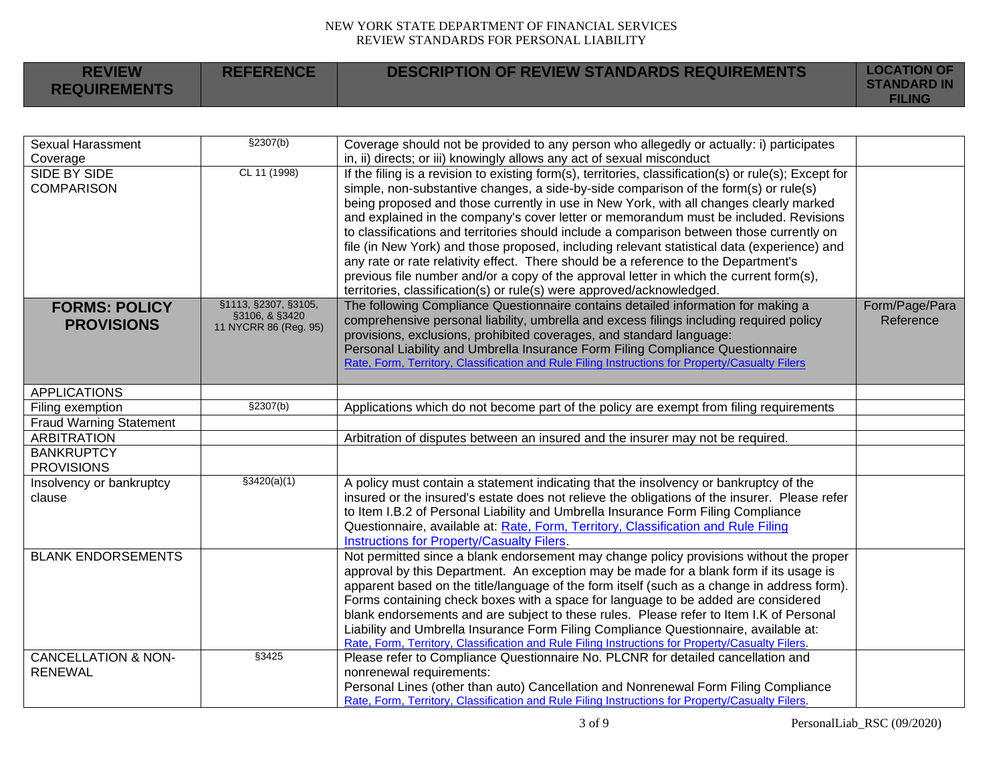| <b>REVIEW</b><br><b>REQUIREMENTS</b> | <b>REFERENCE</b> | DESCRIPTION OF REVIEW STANDARDS REQUIREMENTS | <b>LOCATION OF</b><br><b>STANDARD IN</b><br><b>FILING</b> |
|--------------------------------------|------------------|----------------------------------------------|-----------------------------------------------------------|
|--------------------------------------|------------------|----------------------------------------------|-----------------------------------------------------------|

| <b>Sexual Harassment</b>       | \$2307(b)             | Coverage should not be provided to any person who allegedly or actually: i) participates                                                                                          |                |
|--------------------------------|-----------------------|-----------------------------------------------------------------------------------------------------------------------------------------------------------------------------------|----------------|
| Coverage                       |                       | in, ii) directs; or iii) knowingly allows any act of sexual misconduct                                                                                                            |                |
| SIDE BY SIDE                   | CL 11 (1998)          | If the filing is a revision to existing form(s), territories, classification(s) or rule(s); Except for                                                                            |                |
| <b>COMPARISON</b>              |                       | simple, non-substantive changes, a side-by-side comparison of the form(s) or rule(s)                                                                                              |                |
|                                |                       | being proposed and those currently in use in New York, with all changes clearly marked                                                                                            |                |
|                                |                       | and explained in the company's cover letter or memorandum must be included. Revisions                                                                                             |                |
|                                |                       | to classifications and territories should include a comparison between those currently on                                                                                         |                |
|                                |                       | file (in New York) and those proposed, including relevant statistical data (experience) and                                                                                       |                |
|                                |                       | any rate or rate relativity effect. There should be a reference to the Department's                                                                                               |                |
|                                |                       | previous file number and/or a copy of the approval letter in which the current form(s),                                                                                           |                |
|                                |                       | territories, classification(s) or rule(s) were approved/acknowledged.                                                                                                             |                |
| <b>FORMS: POLICY</b>           | §1113, §2307, §3105,  | The following Compliance Questionnaire contains detailed information for making a                                                                                                 | Form/Page/Para |
|                                | §3106, & §3420        | comprehensive personal liability, umbrella and excess filings including required policy                                                                                           | Reference      |
| <b>PROVISIONS</b>              | 11 NYCRR 86 (Reg. 95) | provisions, exclusions, prohibited coverages, and standard language:                                                                                                              |                |
|                                |                       |                                                                                                                                                                                   |                |
|                                |                       | Personal Liability and Umbrella Insurance Form Filing Compliance Questionnaire<br>Rate, Form, Territory, Classification and Rule Filing Instructions for Property/Casualty Filers |                |
|                                |                       |                                                                                                                                                                                   |                |
| <b>APPLICATIONS</b>            |                       |                                                                                                                                                                                   |                |
| Filing exemption               | §2307(b)              | Applications which do not become part of the policy are exempt from filing requirements                                                                                           |                |
| <b>Fraud Warning Statement</b> |                       |                                                                                                                                                                                   |                |
| <b>ARBITRATION</b>             |                       | Arbitration of disputes between an insured and the insurer may not be required.                                                                                                   |                |
| <b>BANKRUPTCY</b>              |                       |                                                                                                                                                                                   |                |
| <b>PROVISIONS</b>              |                       |                                                                                                                                                                                   |                |
| Insolvency or bankruptcy       | \$3420(a)(1)          | A policy must contain a statement indicating that the insolvency or bankruptcy of the                                                                                             |                |
| clause                         |                       | insured or the insured's estate does not relieve the obligations of the insurer. Please refer                                                                                     |                |
|                                |                       | to Item I.B.2 of Personal Liability and Umbrella Insurance Form Filing Compliance                                                                                                 |                |
|                                |                       | Questionnaire, available at: Rate, Form, Territory, Classification and Rule Filing                                                                                                |                |
|                                |                       | Instructions for Property/Casualty Filers.                                                                                                                                        |                |
| <b>BLANK ENDORSEMENTS</b>      |                       | Not permitted since a blank endorsement may change policy provisions without the proper                                                                                           |                |
|                                |                       | approval by this Department. An exception may be made for a blank form if its usage is                                                                                            |                |
|                                |                       | apparent based on the title/language of the form itself (such as a change in address form).                                                                                       |                |
|                                |                       | Forms containing check boxes with a space for language to be added are considered                                                                                                 |                |
|                                |                       | blank endorsements and are subject to these rules. Please refer to Item I.K of Personal                                                                                           |                |
|                                |                       | Liability and Umbrella Insurance Form Filing Compliance Questionnaire, available at:                                                                                              |                |
|                                |                       | Rate, Form, Territory, Classification and Rule Filing Instructions for Property/Casualty Filers.                                                                                  |                |
| <b>CANCELLATION &amp; NON-</b> | §3425                 | Please refer to Compliance Questionnaire No. PLCNR for detailed cancellation and                                                                                                  |                |
| <b>RENEWAL</b>                 |                       | nonrenewal requirements:                                                                                                                                                          |                |
|                                |                       | Personal Lines (other than auto) Cancellation and Nonrenewal Form Filing Compliance                                                                                               |                |
|                                |                       | Rate, Form, Territory, Classification and Rule Filing Instructions for Property/Casualty Filers.                                                                                  |                |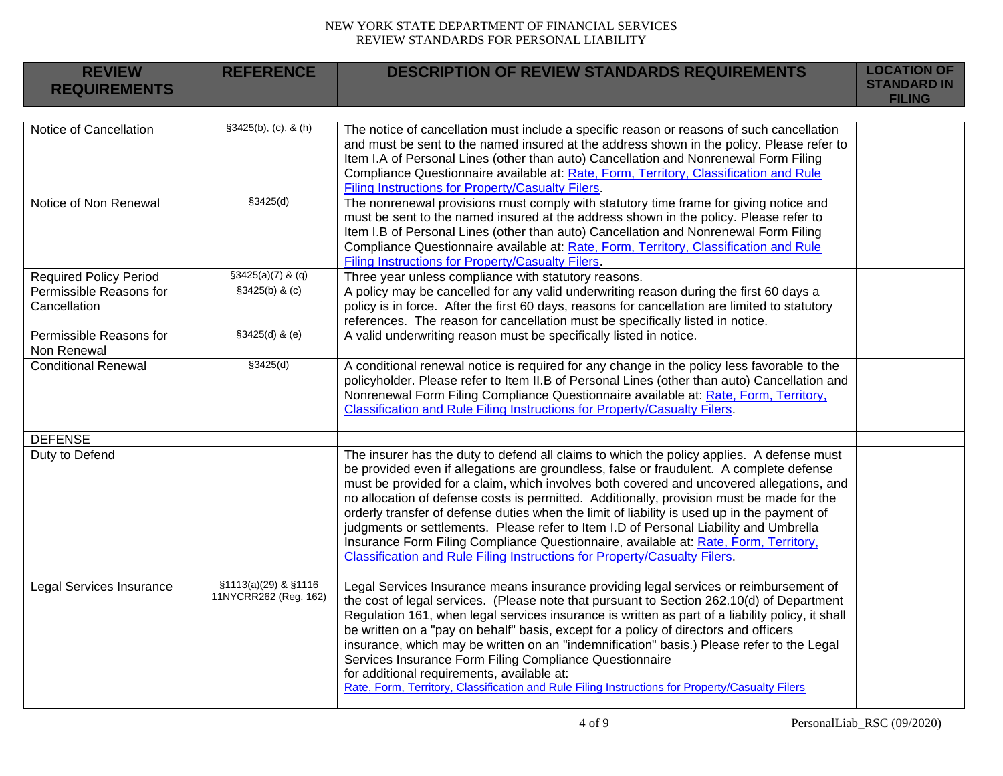| <b>REVIEW</b><br><b>REQUIREMENTS</b>    | <b>REFERENCE</b>                              | <b>DESCRIPTION OF REVIEW STANDARDS REQUIREMENTS</b>                                                                                                                                                                                                                                                                                                                                                                                                                                                                                                                                                                                                                                                                                        | <b>LOCATION OF</b><br><b>STANDARD IN</b><br><b>FILING</b> |
|-----------------------------------------|-----------------------------------------------|--------------------------------------------------------------------------------------------------------------------------------------------------------------------------------------------------------------------------------------------------------------------------------------------------------------------------------------------------------------------------------------------------------------------------------------------------------------------------------------------------------------------------------------------------------------------------------------------------------------------------------------------------------------------------------------------------------------------------------------------|-----------------------------------------------------------|
| Notice of Cancellation                  | \$3425(b), (c), 8(h)                          | The notice of cancellation must include a specific reason or reasons of such cancellation<br>and must be sent to the named insured at the address shown in the policy. Please refer to<br>Item I.A of Personal Lines (other than auto) Cancellation and Nonrenewal Form Filing<br>Compliance Questionnaire available at: Rate, Form, Territory, Classification and Rule<br><b>Filing Instructions for Property/Casualty Filers.</b>                                                                                                                                                                                                                                                                                                        |                                                           |
| Notice of Non Renewal                   | \$3425(d)                                     | The nonrenewal provisions must comply with statutory time frame for giving notice and<br>must be sent to the named insured at the address shown in the policy. Please refer to<br>Item I.B of Personal Lines (other than auto) Cancellation and Nonrenewal Form Filing<br>Compliance Questionnaire available at: Rate, Form, Territory, Classification and Rule<br>Filing Instructions for Property/Casualty Filers.                                                                                                                                                                                                                                                                                                                       |                                                           |
| <b>Required Policy Period</b>           | $$3425(a)(7)$ & (q)                           | Three year unless compliance with statutory reasons.                                                                                                                                                                                                                                                                                                                                                                                                                                                                                                                                                                                                                                                                                       |                                                           |
| Permissible Reasons for<br>Cancellation | \$3425(b) & (c)                               | A policy may be cancelled for any valid underwriting reason during the first 60 days a<br>policy is in force. After the first 60 days, reasons for cancellation are limited to statutory<br>references. The reason for cancellation must be specifically listed in notice.                                                                                                                                                                                                                                                                                                                                                                                                                                                                 |                                                           |
| Permissible Reasons for<br>Non Renewal  | $$3425(d)$ & (e)                              | A valid underwriting reason must be specifically listed in notice.                                                                                                                                                                                                                                                                                                                                                                                                                                                                                                                                                                                                                                                                         |                                                           |
| <b>Conditional Renewal</b>              | \$3425(d)                                     | A conditional renewal notice is required for any change in the policy less favorable to the<br>policyholder. Please refer to Item II.B of Personal Lines (other than auto) Cancellation and<br>Nonrenewal Form Filing Compliance Questionnaire available at: Rate, Form, Territory,<br>Classification and Rule Filing Instructions for Property/Casualty Filers.                                                                                                                                                                                                                                                                                                                                                                           |                                                           |
| <b>DEFENSE</b>                          |                                               |                                                                                                                                                                                                                                                                                                                                                                                                                                                                                                                                                                                                                                                                                                                                            |                                                           |
| Duty to Defend                          |                                               | The insurer has the duty to defend all claims to which the policy applies. A defense must<br>be provided even if allegations are groundless, false or fraudulent. A complete defense<br>must be provided for a claim, which involves both covered and uncovered allegations, and<br>no allocation of defense costs is permitted. Additionally, provision must be made for the<br>orderly transfer of defense duties when the limit of liability is used up in the payment of<br>judgments or settlements. Please refer to Item I.D of Personal Liability and Umbrella<br>Insurance Form Filing Compliance Questionnaire, available at: Rate, Form, Territory,<br>Classification and Rule Filing Instructions for Property/Casualty Filers. |                                                           |
| Legal Services Insurance                | §1113(a)(29) & §1116<br>11NYCRR262 (Reg. 162) | Legal Services Insurance means insurance providing legal services or reimbursement of<br>the cost of legal services. (Please note that pursuant to Section 262.10(d) of Department<br>Regulation 161, when legal services insurance is written as part of a liability policy, it shall<br>be written on a "pay on behalf" basis, except for a policy of directors and officers<br>insurance, which may be written on an "indemnification" basis.) Please refer to the Legal<br>Services Insurance Form Filing Compliance Questionnaire<br>for additional requirements, available at:<br>Rate, Form, Territory, Classification and Rule Filing Instructions for Property/Casualty Filers                                                    |                                                           |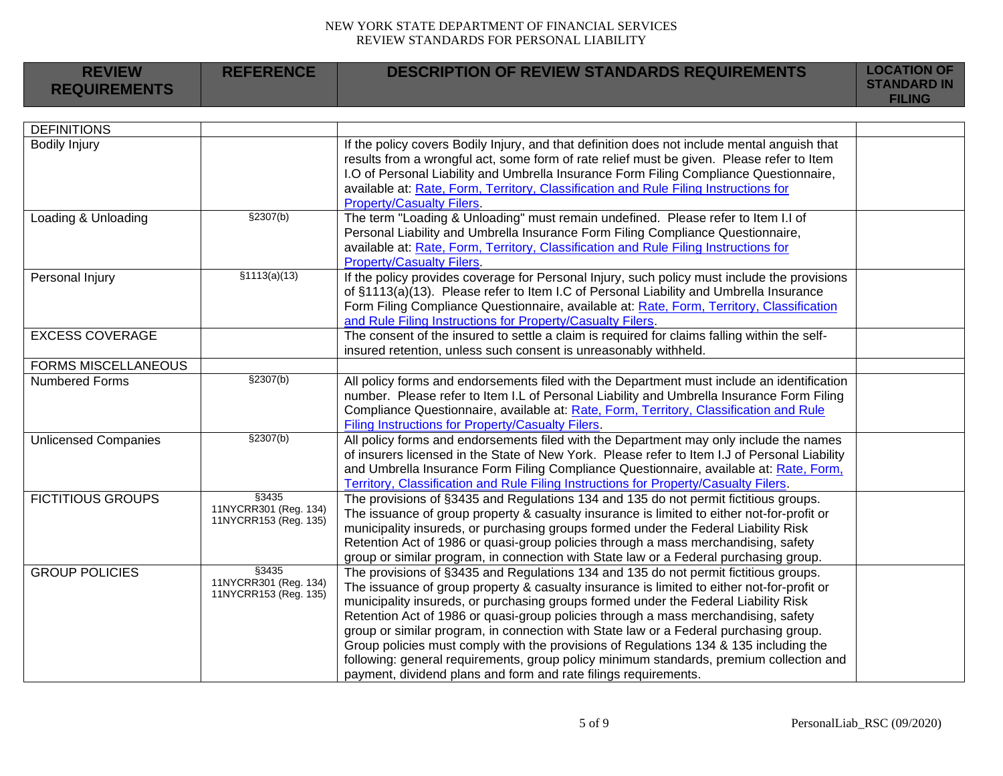| <b>REVIEW</b><br><b>REQUIREMENTS</b> | <b>REFERENCE</b>                                        | <b>DESCRIPTION OF REVIEW STANDARDS REQUIREMENTS</b>                                                                                                                                                                                                                                                                                                                                                                                                                                                                                                                                                                                                                                                             | <b>LOCATION OF</b><br><b>STANDARD IN</b><br><b>FILING</b> |
|--------------------------------------|---------------------------------------------------------|-----------------------------------------------------------------------------------------------------------------------------------------------------------------------------------------------------------------------------------------------------------------------------------------------------------------------------------------------------------------------------------------------------------------------------------------------------------------------------------------------------------------------------------------------------------------------------------------------------------------------------------------------------------------------------------------------------------------|-----------------------------------------------------------|
|                                      |                                                         |                                                                                                                                                                                                                                                                                                                                                                                                                                                                                                                                                                                                                                                                                                                 |                                                           |
| <b>DEFINITIONS</b>                   |                                                         |                                                                                                                                                                                                                                                                                                                                                                                                                                                                                                                                                                                                                                                                                                                 |                                                           |
| <b>Bodily Injury</b>                 |                                                         | If the policy covers Bodily Injury, and that definition does not include mental anguish that<br>results from a wrongful act, some form of rate relief must be given. Please refer to Item<br>I.O of Personal Liability and Umbrella Insurance Form Filing Compliance Questionnaire,<br>available at: Rate, Form, Territory, Classification and Rule Filing Instructions for<br><b>Property/Casualty Filers.</b>                                                                                                                                                                                                                                                                                                 |                                                           |
| Loading & Unloading                  | \$2307(b)                                               | The term "Loading & Unloading" must remain undefined. Please refer to Item I.I of<br>Personal Liability and Umbrella Insurance Form Filing Compliance Questionnaire,<br>available at: Rate, Form, Territory, Classification and Rule Filing Instructions for<br><b>Property/Casualty Filers.</b>                                                                                                                                                                                                                                                                                                                                                                                                                |                                                           |
| Personal Injury                      | \$1113(a)(13)                                           | If the policy provides coverage for Personal Injury, such policy must include the provisions<br>of §1113(a)(13). Please refer to Item I.C of Personal Liability and Umbrella Insurance<br>Form Filing Compliance Questionnaire, available at: Rate, Form, Territory, Classification<br>and Rule Filing Instructions for Property/Casualty Filers.                                                                                                                                                                                                                                                                                                                                                               |                                                           |
| <b>EXCESS COVERAGE</b>               |                                                         | The consent of the insured to settle a claim is required for claims falling within the self-<br>insured retention, unless such consent is unreasonably withheld.                                                                                                                                                                                                                                                                                                                                                                                                                                                                                                                                                |                                                           |
| <b>FORMS MISCELLANEOUS</b>           |                                                         |                                                                                                                                                                                                                                                                                                                                                                                                                                                                                                                                                                                                                                                                                                                 |                                                           |
| <b>Numbered Forms</b>                | \$2307(b)                                               | All policy forms and endorsements filed with the Department must include an identification<br>number. Please refer to Item I.L of Personal Liability and Umbrella Insurance Form Filing<br>Compliance Questionnaire, available at: Rate, Form, Territory, Classification and Rule<br>Filing Instructions for Property/Casualty Filers.                                                                                                                                                                                                                                                                                                                                                                          |                                                           |
| <b>Unlicensed Companies</b>          | \$2307(b)                                               | All policy forms and endorsements filed with the Department may only include the names<br>of insurers licensed in the State of New York. Please refer to Item I.J of Personal Liability<br>and Umbrella Insurance Form Filing Compliance Questionnaire, available at: Rate, Form,<br>Territory, Classification and Rule Filing Instructions for Property/Casualty Filers.                                                                                                                                                                                                                                                                                                                                       |                                                           |
| <b>FICTITIOUS GROUPS</b>             | §3435<br>11NYCRR301 (Reg. 134)<br>11NYCRR153 (Reg. 135) | The provisions of §3435 and Regulations 134 and 135 do not permit fictitious groups.<br>The issuance of group property & casualty insurance is limited to either not-for-profit or<br>municipality insureds, or purchasing groups formed under the Federal Liability Risk<br>Retention Act of 1986 or quasi-group policies through a mass merchandising, safety<br>group or similar program, in connection with State law or a Federal purchasing group.                                                                                                                                                                                                                                                        |                                                           |
| <b>GROUP POLICIES</b>                | §3435<br>11NYCRR301 (Reg. 134)<br>11NYCRR153 (Reg. 135) | The provisions of §3435 and Regulations 134 and 135 do not permit fictitious groups.<br>The issuance of group property & casualty insurance is limited to either not-for-profit or<br>municipality insureds, or purchasing groups formed under the Federal Liability Risk<br>Retention Act of 1986 or quasi-group policies through a mass merchandising, safety<br>group or similar program, in connection with State law or a Federal purchasing group.<br>Group policies must comply with the provisions of Regulations 134 & 135 including the<br>following: general requirements, group policy minimum standards, premium collection and<br>payment, dividend plans and form and rate filings requirements. |                                                           |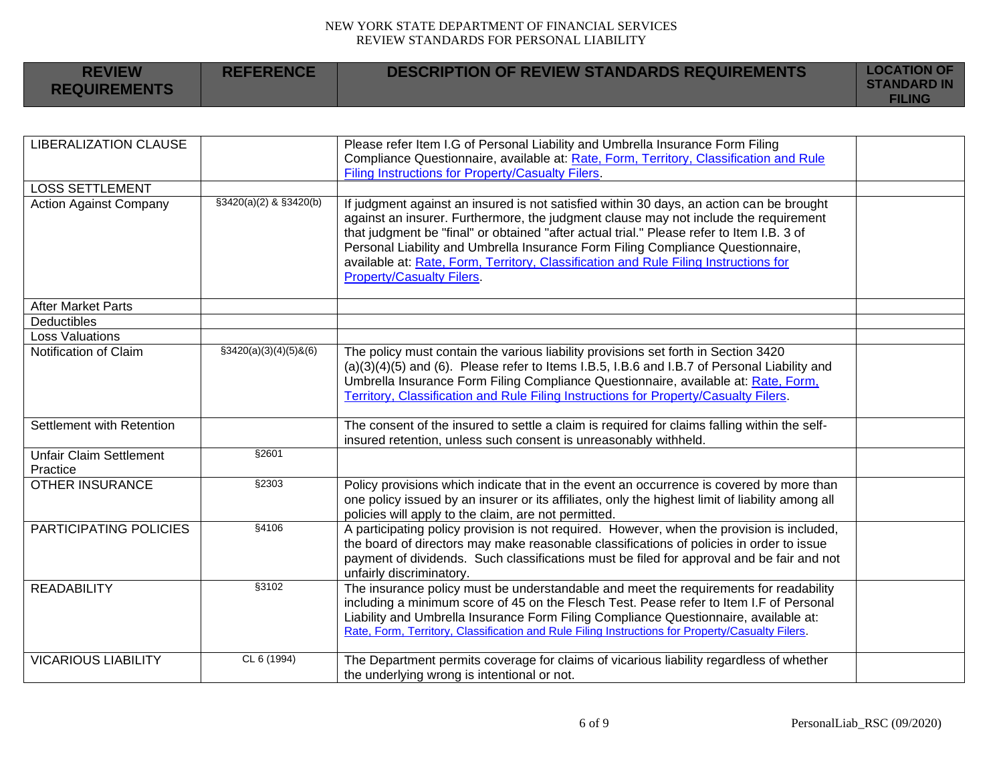| <b>REVIEW</b><br><b>REQUIREMENTS</b> | <b>REFERENCE</b> | <b>DESCRIPTION OF REVIEW STANDARDS REQUIREMENTS</b> | <b>LOCATION OF</b><br><b>STANDARD IN</b><br><b>FILING</b> |
|--------------------------------------|------------------|-----------------------------------------------------|-----------------------------------------------------------|
|--------------------------------------|------------------|-----------------------------------------------------|-----------------------------------------------------------|

| <b>LIBERALIZATION CLAUSE</b>               |                          | Please refer Item I.G of Personal Liability and Umbrella Insurance Form Filing<br>Compliance Questionnaire, available at: Rate, Form, Territory, Classification and Rule<br>Filing Instructions for Property/Casualty Filers.                                                                                                                                                                                                                                                                |  |
|--------------------------------------------|--------------------------|----------------------------------------------------------------------------------------------------------------------------------------------------------------------------------------------------------------------------------------------------------------------------------------------------------------------------------------------------------------------------------------------------------------------------------------------------------------------------------------------|--|
| <b>LOSS SETTLEMENT</b>                     |                          |                                                                                                                                                                                                                                                                                                                                                                                                                                                                                              |  |
| <b>Action Against Company</b>              | §3420(a)(2) & §3420(b)   | If judgment against an insured is not satisfied within 30 days, an action can be brought<br>against an insurer. Furthermore, the judgment clause may not include the requirement<br>that judgment be "final" or obtained "after actual trial." Please refer to Item I.B. 3 of<br>Personal Liability and Umbrella Insurance Form Filing Compliance Questionnaire,<br>available at: Rate, Form, Territory, Classification and Rule Filing Instructions for<br><b>Property/Casualty Filers.</b> |  |
| <b>After Market Parts</b>                  |                          |                                                                                                                                                                                                                                                                                                                                                                                                                                                                                              |  |
| Deductibles                                |                          |                                                                                                                                                                                                                                                                                                                                                                                                                                                                                              |  |
| <b>Loss Valuations</b>                     |                          |                                                                                                                                                                                                                                                                                                                                                                                                                                                                                              |  |
| Notification of Claim                      | $$3420(a)(3)(4)(5)$ &(6) | The policy must contain the various liability provisions set forth in Section 3420<br>$(a)(3)(4)(5)$ and $(6)$ . Please refer to Items I.B.5, I.B.6 and I.B.7 of Personal Liability and<br>Umbrella Insurance Form Filing Compliance Questionnaire, available at: Rate, Form,<br>Territory, Classification and Rule Filing Instructions for Property/Casualty Filers.                                                                                                                        |  |
| Settlement with Retention                  |                          | The consent of the insured to settle a claim is required for claims falling within the self-<br>insured retention, unless such consent is unreasonably withheld.                                                                                                                                                                                                                                                                                                                             |  |
| <b>Unfair Claim Settlement</b><br>Practice | \$2601                   |                                                                                                                                                                                                                                                                                                                                                                                                                                                                                              |  |
| <b>OTHER INSURANCE</b>                     | §2303                    | Policy provisions which indicate that in the event an occurrence is covered by more than<br>one policy issued by an insurer or its affiliates, only the highest limit of liability among all<br>policies will apply to the claim, are not permitted.                                                                                                                                                                                                                                         |  |
| PARTICIPATING POLICIES                     | §4106                    | A participating policy provision is not required. However, when the provision is included,<br>the board of directors may make reasonable classifications of policies in order to issue<br>payment of dividends. Such classifications must be filed for approval and be fair and not<br>unfairly discriminatory.                                                                                                                                                                              |  |
| <b>READABILITY</b>                         | \$3102                   | The insurance policy must be understandable and meet the requirements for readability<br>including a minimum score of 45 on the Flesch Test. Pease refer to Item I.F of Personal<br>Liability and Umbrella Insurance Form Filing Compliance Questionnaire, available at:<br>Rate, Form, Territory, Classification and Rule Filing Instructions for Property/Casualty Filers.                                                                                                                 |  |
| <b>VICARIOUS LIABILITY</b>                 | CL 6 (1994)              | The Department permits coverage for claims of vicarious liability regardless of whether<br>the underlying wrong is intentional or not.                                                                                                                                                                                                                                                                                                                                                       |  |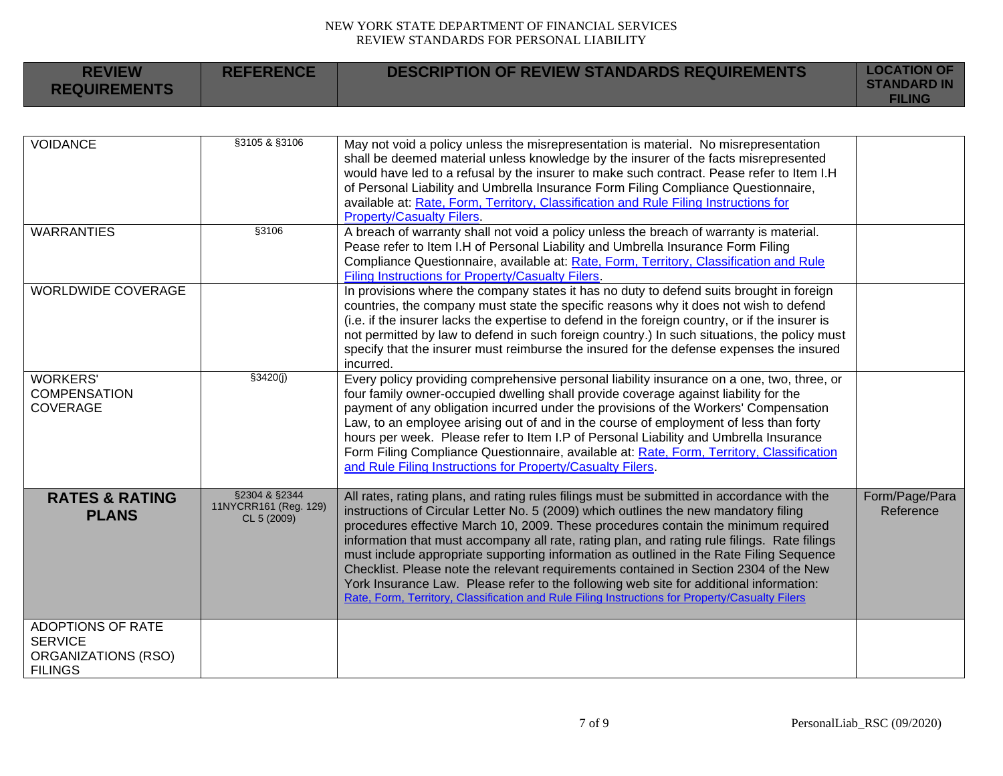| <b>REVIEW</b><br><b>REQUIREMENTS</b>                                         | <b>REFERENCE</b>                                      | <b>DESCRIPTION OF REVIEW STANDARDS REQUIREMENTS</b>                                                                                                                                                                                                                                                                                                                                                                                                                                                                                                                                                                                                                                                                                                       | <b>LOCATION OF</b><br><b>STANDARD IN</b><br><b>FILING</b> |
|------------------------------------------------------------------------------|-------------------------------------------------------|-----------------------------------------------------------------------------------------------------------------------------------------------------------------------------------------------------------------------------------------------------------------------------------------------------------------------------------------------------------------------------------------------------------------------------------------------------------------------------------------------------------------------------------------------------------------------------------------------------------------------------------------------------------------------------------------------------------------------------------------------------------|-----------------------------------------------------------|
|                                                                              |                                                       |                                                                                                                                                                                                                                                                                                                                                                                                                                                                                                                                                                                                                                                                                                                                                           |                                                           |
| <b>VOIDANCE</b>                                                              | §3105 & §3106                                         | May not void a policy unless the misrepresentation is material. No misrepresentation<br>shall be deemed material unless knowledge by the insurer of the facts misrepresented<br>would have led to a refusal by the insurer to make such contract. Pease refer to Item I.H<br>of Personal Liability and Umbrella Insurance Form Filing Compliance Questionnaire,<br>available at: Rate, Form, Territory, Classification and Rule Filing Instructions for<br><b>Property/Casualty Filers.</b>                                                                                                                                                                                                                                                               |                                                           |
| <b>WARRANTIES</b>                                                            | §3106                                                 | A breach of warranty shall not void a policy unless the breach of warranty is material.<br>Pease refer to Item I.H of Personal Liability and Umbrella Insurance Form Filing<br>Compliance Questionnaire, available at: Rate, Form, Territory, Classification and Rule<br>Filing Instructions for Property/Casualty Filers.                                                                                                                                                                                                                                                                                                                                                                                                                                |                                                           |
| <b>WORLDWIDE COVERAGE</b>                                                    |                                                       | In provisions where the company states it has no duty to defend suits brought in foreign<br>countries, the company must state the specific reasons why it does not wish to defend<br>(i.e. if the insurer lacks the expertise to defend in the foreign country, or if the insurer is<br>not permitted by law to defend in such foreign country.) In such situations, the policy must<br>specify that the insurer must reimburse the insured for the defense expenses the insured<br>incurred.                                                                                                                                                                                                                                                             |                                                           |
| <b>WORKERS'</b><br><b>COMPENSATION</b><br><b>COVERAGE</b>                    | \$3420(j)                                             | Every policy providing comprehensive personal liability insurance on a one, two, three, or<br>four family owner-occupied dwelling shall provide coverage against liability for the<br>payment of any obligation incurred under the provisions of the Workers' Compensation<br>Law, to an employee arising out of and in the course of employment of less than forty<br>hours per week. Please refer to Item I.P of Personal Liability and Umbrella Insurance<br>Form Filing Compliance Questionnaire, available at: Rate, Form, Territory, Classification<br>and Rule Filing Instructions for Property/Casualty Filers.                                                                                                                                   |                                                           |
| <b>RATES &amp; RATING</b><br><b>PLANS</b>                                    | §2304 & §2344<br>11NYCRR161 (Reg. 129)<br>CL 5 (2009) | All rates, rating plans, and rating rules filings must be submitted in accordance with the<br>instructions of Circular Letter No. 5 (2009) which outlines the new mandatory filing<br>procedures effective March 10, 2009. These procedures contain the minimum required<br>information that must accompany all rate, rating plan, and rating rule filings. Rate filings<br>must include appropriate supporting information as outlined in the Rate Filing Sequence<br>Checklist. Please note the relevant requirements contained in Section 2304 of the New<br>York Insurance Law. Please refer to the following web site for additional information:<br>Rate, Form, Territory, Classification and Rule Filing Instructions for Property/Casualty Filers | Form/Page/Para<br>Reference                               |
| ADOPTIONS OF RATE<br><b>SERVICE</b><br>ORGANIZATIONS (RSO)<br><b>FILINGS</b> |                                                       |                                                                                                                                                                                                                                                                                                                                                                                                                                                                                                                                                                                                                                                                                                                                                           |                                                           |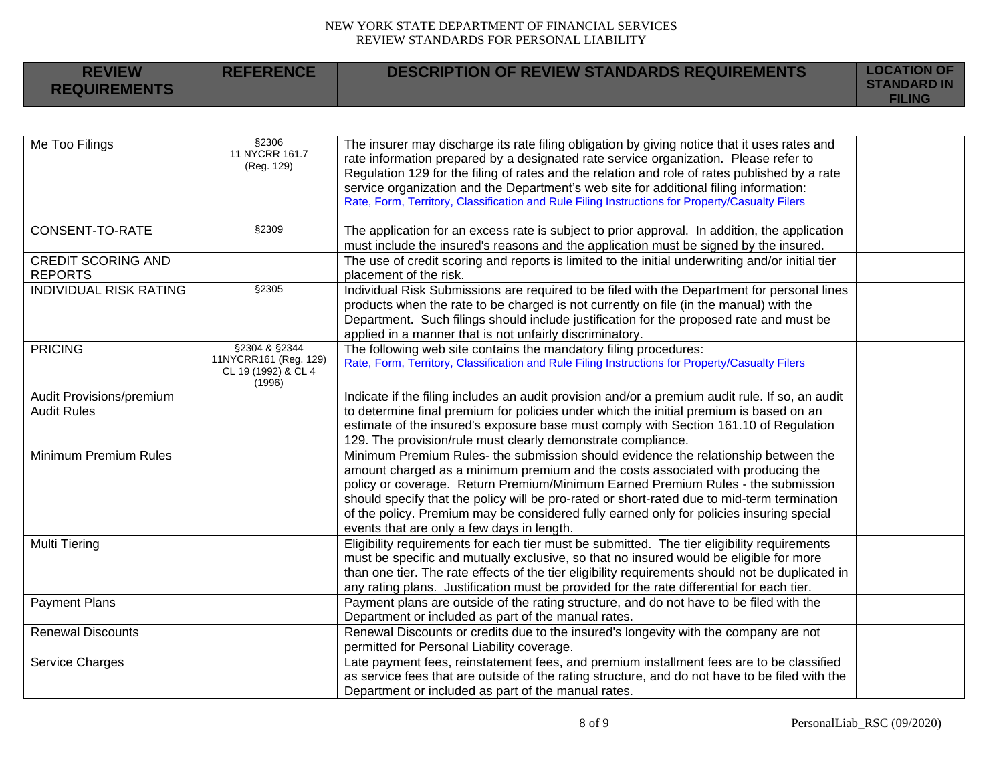| <b>REVIEW</b><br><b>REQUIREMENTS</b>           | <b>REFERENCE</b>                                                        | <b>DESCRIPTION OF REVIEW STANDARDS REQUIREMENTS</b>                                                                                                                                                                                                                                                                                                                                                                                                                                                | <b>LOCATION OF</b><br><b>STANDARD IN</b><br><b>FILING</b> |
|------------------------------------------------|-------------------------------------------------------------------------|----------------------------------------------------------------------------------------------------------------------------------------------------------------------------------------------------------------------------------------------------------------------------------------------------------------------------------------------------------------------------------------------------------------------------------------------------------------------------------------------------|-----------------------------------------------------------|
|                                                |                                                                         |                                                                                                                                                                                                                                                                                                                                                                                                                                                                                                    |                                                           |
| Me Too Filings                                 | §2306<br>11 NYCRR 161.7<br>(Reg. 129)                                   | The insurer may discharge its rate filing obligation by giving notice that it uses rates and<br>rate information prepared by a designated rate service organization. Please refer to<br>Regulation 129 for the filing of rates and the relation and role of rates published by a rate<br>service organization and the Department's web site for additional filing information:<br>Rate, Form, Territory, Classification and Rule Filing Instructions for Property/Casualty Filers                  |                                                           |
| CONSENT-TO-RATE                                | §2309                                                                   | The application for an excess rate is subject to prior approval. In addition, the application<br>must include the insured's reasons and the application must be signed by the insured.                                                                                                                                                                                                                                                                                                             |                                                           |
| <b>CREDIT SCORING AND</b><br><b>REPORTS</b>    |                                                                         | The use of credit scoring and reports is limited to the initial underwriting and/or initial tier<br>placement of the risk.                                                                                                                                                                                                                                                                                                                                                                         |                                                           |
| <b>INDIVIDUAL RISK RATING</b>                  | §2305                                                                   | Individual Risk Submissions are required to be filed with the Department for personal lines<br>products when the rate to be charged is not currently on file (in the manual) with the<br>Department. Such filings should include justification for the proposed rate and must be<br>applied in a manner that is not unfairly discriminatory.                                                                                                                                                       |                                                           |
| <b>PRICING</b>                                 | §2304 & §2344<br>11NYCRR161 (Reg. 129)<br>CL 19 (1992) & CL 4<br>(1996) | The following web site contains the mandatory filing procedures:<br>Rate, Form, Territory, Classification and Rule Filing Instructions for Property/Casualty Filers                                                                                                                                                                                                                                                                                                                                |                                                           |
| Audit Provisions/premium<br><b>Audit Rules</b> |                                                                         | Indicate if the filing includes an audit provision and/or a premium audit rule. If so, an audit<br>to determine final premium for policies under which the initial premium is based on an<br>estimate of the insured's exposure base must comply with Section 161.10 of Regulation<br>129. The provision/rule must clearly demonstrate compliance.                                                                                                                                                 |                                                           |
| Minimum Premium Rules                          |                                                                         | Minimum Premium Rules- the submission should evidence the relationship between the<br>amount charged as a minimum premium and the costs associated with producing the<br>policy or coverage. Return Premium/Minimum Earned Premium Rules - the submission<br>should specify that the policy will be pro-rated or short-rated due to mid-term termination<br>of the policy. Premium may be considered fully earned only for policies insuring special<br>events that are only a few days in length. |                                                           |
| <b>Multi Tiering</b>                           |                                                                         | Eligibility requirements for each tier must be submitted. The tier eligibility requirements<br>must be specific and mutually exclusive, so that no insured would be eligible for more<br>than one tier. The rate effects of the tier eligibility requirements should not be duplicated in<br>any rating plans. Justification must be provided for the rate differential for each tier.                                                                                                             |                                                           |
| <b>Payment Plans</b>                           |                                                                         | Payment plans are outside of the rating structure, and do not have to be filed with the<br>Department or included as part of the manual rates.                                                                                                                                                                                                                                                                                                                                                     |                                                           |
| <b>Renewal Discounts</b>                       |                                                                         | Renewal Discounts or credits due to the insured's longevity with the company are not<br>permitted for Personal Liability coverage.                                                                                                                                                                                                                                                                                                                                                                 |                                                           |
| Service Charges                                |                                                                         | Late payment fees, reinstatement fees, and premium installment fees are to be classified<br>as service fees that are outside of the rating structure, and do not have to be filed with the<br>Department or included as part of the manual rates.                                                                                                                                                                                                                                                  |                                                           |